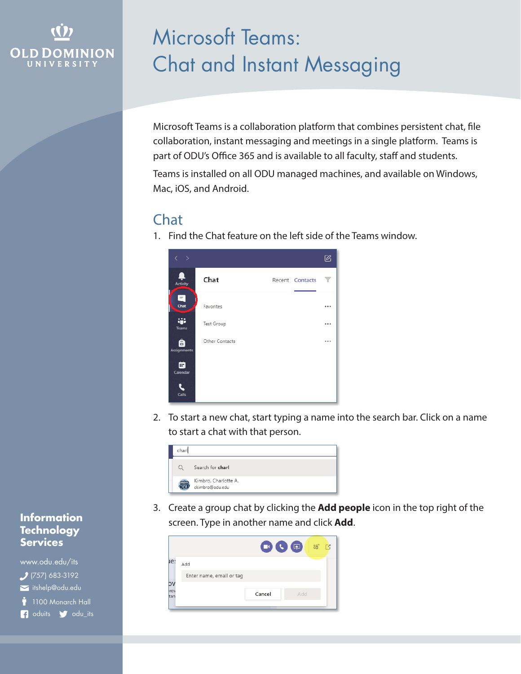## **OLD DOMINION** UNIVERSITY

# Microsoft Teams: Chat and Instant Messaging

Microsoft Teams is a collaboration platform that combines persistent chat, file collaboration, instant messaging and meetings in a single platform. Teams is part of ODU's Office 365 and is available to all faculty, staff and students.

Teams is installed on all ODU managed machines, and available on Windows, Mac, iOS, and Android.

### Chat

1. Find the Chat feature on the left side of the Teams window.



2. To start a new chat, start typing a name into the search bar. Click on a name to start a chat with that person.

| char |                                         |
|------|-----------------------------------------|
| Ω    | Search for charl                        |
|      | Kimbro, Charlotte A.<br>ckimbro@odu.edu |

3. Create a group chat by clicking the **Add people** icon in the top right of the screen. Type in another name and click **Add**.



#### **Information Technology Services**

www.odu.edu/its itshelp@odu.edu  $(757)$  683-3192 1100 Monarch Hall **f** oduits **f** odu\_its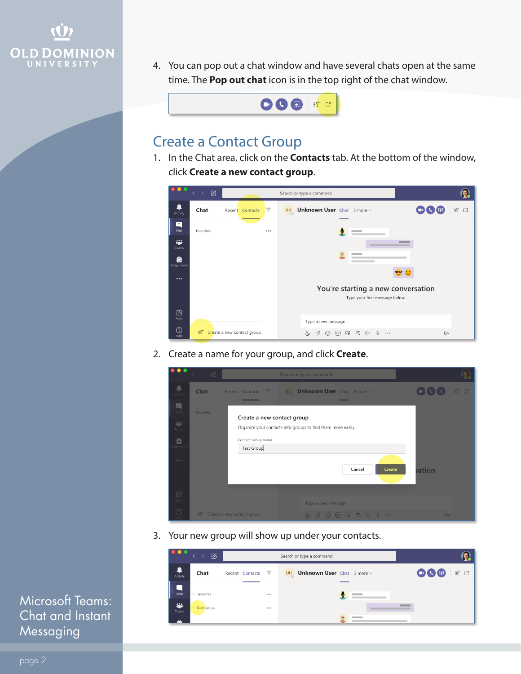

4. You can pop out a chat window and have several chats open at the same time. The **Pop out chat** icon is in the top right of the chat window.



#### Create a Contact Group

1. In the Chat area, click on the **Contacts** tab. At the bottom of the window, click **Create a new contact group**.



2. Create a name for your group, and click **Create**.

|                                                                         | $\begin{picture}(20,20) \put(0,0){\circle{0.5}} \put(15,0){\circle{0.5}} \put(15,0){\circle{0.5}} \put(15,0){\circle{0.5}} \put(15,0){\circle{0.5}} \put(15,0){\circle{0.5}} \put(15,0){\circle{0.5}} \put(15,0){\circle{0.5}} \put(15,0){\circle{0.5}} \put(15,0){\circle{0.5}} \put(15,0){\circle{0.5}} \put(15,0){\circle{0.5}} \put(15,0){\circle{0.5}} \put(15,0){\circle{0.5}}$ |                                                                       | Search or type a command                                                         |                  |
|-------------------------------------------------------------------------|---------------------------------------------------------------------------------------------------------------------------------------------------------------------------------------------------------------------------------------------------------------------------------------------------------------------------------------------------------------------------------------|-----------------------------------------------------------------------|----------------------------------------------------------------------------------|------------------|
| ņ<br>Activity                                                           | Chat                                                                                                                                                                                                                                                                                                                                                                                  | <b>Contract</b><br>Recent Contacts                                    | UU Unknown User Chat 3 more v                                                    | <b>80 【</b>      |
| 目<br>Chat<br>論<br>Teams<br>自<br>signment<br>$\alpha \rightarrow \alpha$ | Favorites                                                                                                                                                                                                                                                                                                                                                                             | Create a new contact group<br>Contact group name<br><b>Test Group</b> | Organize your contacts into groups to find them more easily.<br>Create<br>Cancel | sation           |
| $\boxplus$<br>Apps:                                                     |                                                                                                                                                                                                                                                                                                                                                                                       |                                                                       | Type a new message                                                               |                  |
| ◎                                                                       |                                                                                                                                                                                                                                                                                                                                                                                       | <sup>86</sup> Create a new contact group                              | A C © H D 由 D Q …                                                                | $\triangleright$ |

3. Your new group will show up under your contacts.

| <b>100 a</b>  | $\mathbb{Z}$      |                 |              | Search or type a command                          |                                                             |
|---------------|-------------------|-----------------|--------------|---------------------------------------------------|-------------------------------------------------------------|
| ۹<br>Activity | Chat              | Recent Contacts | $\mathbf{r}$ | <b>UU</b> Unknown User Chat $3 \text{ more} \vee$ | OOO<br>$\stackrel{\circ}{\circ}^*$ $\stackrel{\circ}{\Box}$ |
| Ξ<br>Chat     | $=$ Favorites     |                 | $\cdots$     |                                                   |                                                             |
| W.<br>Teams   | <b>Test Group</b> |                 |              |                                                   |                                                             |
|               |                   |                 |              |                                                   |                                                             |

Microsoft Teams: Chat and Instant Messaging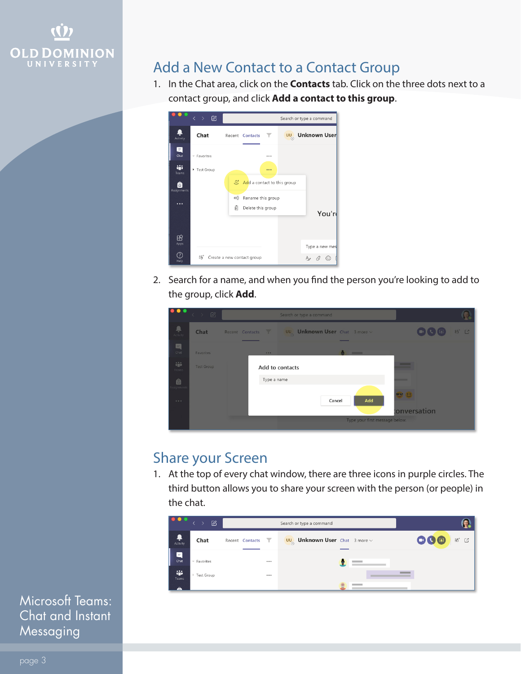

#### Add a New Contact to a Contact Group

1. In the Chat area, click on the **Contacts** tab. Click on the three dots next to a contact group, and click **Add a contact to this group**.



2. Search for a name, and when you find the person you're looking to add to the group, click **Add**.



#### Share your Screen

1. At the top of every chat window, there are three icons in purple circles. The third button allows you to share your screen with the person (or people) in the chat.

| $\bullet$ $\bullet$ $\bullet$ | $\varnothing$<br>$\langle \rangle$ |                                 | Search or type a command                          |                              |
|-------------------------------|------------------------------------|---------------------------------|---------------------------------------------------|------------------------------|
| ۹<br>Activity                 | Chat                               | $\mathbf{r}$<br>Recent Contacts | <b>UU</b> Unknown User Chat $3 \text{ more} \vee$ | QO®<br>$\rm ^{86}$<br>$\Box$ |
| $\blacksquare$<br>Chat        | - Favorites                        |                                 |                                                   |                              |
| ÷<br>Teams<br>Â               | ▶ Test Group                       |                                 |                                                   |                              |

Microsoft Teams: Chat and Instant Messaging